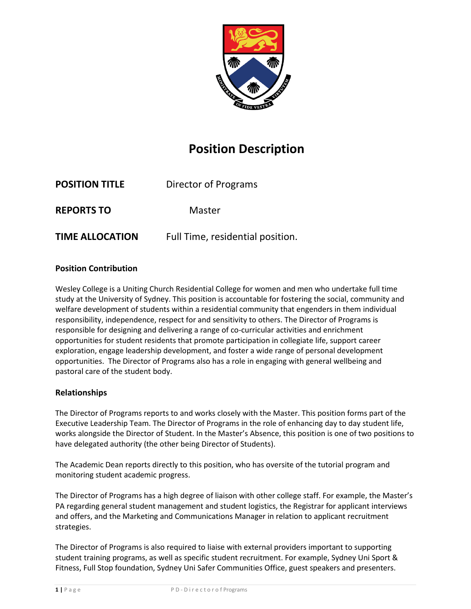

# **Position Description**

| <b>POSITION TITLE</b>  | Director of Programs             |
|------------------------|----------------------------------|
| <b>REPORTS TO</b>      | Master                           |
| <b>TIME ALLOCATION</b> | Full Time, residential position. |

## **Position Contribution**

Wesley College is a Uniting Church Residential College for women and men who undertake full time study at the University of Sydney. This position is accountable for fostering the social, community and welfare development of students within a residential community that engenders in them individual responsibility, independence, respect for and sensitivity to others. The Director of Programs is responsible for designing and delivering a range of co-curricular activities and enrichment opportunities for student residents that promote participation in collegiate life, support career exploration, engage leadership development, and foster a wide range of personal development opportunities. The Director of Programs also has a role in engaging with general wellbeing and pastoral care of the student body.

## **Relationships**

The Director of Programs reports to and works closely with the Master. This position forms part of the Executive Leadership Team. The Director of Programs in the role of enhancing day to day student life, works alongside the Director of Student. In the Master's Absence, this position is one of two positions to have delegated authority (the other being Director of Students).

The Academic Dean reports directly to this position, who has oversite of the tutorial program and monitoring student academic progress.

The Director of Programs has a high degree of liaison with other college staff. For example, the Master's PA regarding general student management and student logistics, the Registrar for applicant interviews and offers, and the Marketing and Communications Manager in relation to applicant recruitment strategies.

The Director of Programs is also required to liaise with external providers important to supporting student training programs, as well as specific student recruitment. For example, Sydney Uni Sport & Fitness, Full Stop foundation, Sydney Uni Safer Communities Office, guest speakers and presenters.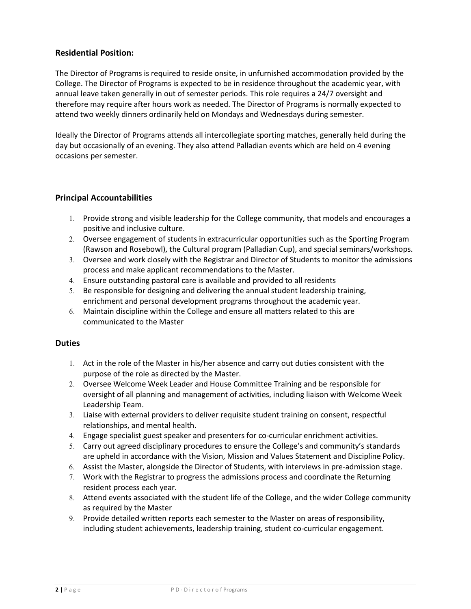## **Residential Position:**

The Director of Programs is required to reside onsite, in unfurnished accommodation provided by the College. The Director of Programs is expected to be in residence throughout the academic year, with annual leave taken generally in out of semester periods. This role requires a 24/7 oversight and therefore may require after hours work as needed. The Director of Programs is normally expected to attend two weekly dinners ordinarily held on Mondays and Wednesdays during semester.

Ideally the Director of Programs attends all intercollegiate sporting matches, generally held during the day but occasionally of an evening. They also attend Palladian events which are held on 4 evening occasions per semester.

### **Principal Accountabilities**

- 1. Provide strong and visible leadership for the College community, that models and encourages a positive and inclusive culture.
- 2. Oversee engagement of students in extracurricular opportunities such as the Sporting Program (Rawson and Rosebowl), the Cultural program (Palladian Cup), and special seminars/workshops.
- 3. Oversee and work closely with the Registrar and Director of Students to monitor the admissions process and make applicant recommendations to the Master.
- 4. Ensure outstanding pastoral care is available and provided to all residents
- 5. Be responsible for designing and delivering the annual student leadership training, enrichment and personal development programs throughout the academic year.
- 6. Maintain discipline within the College and ensure all matters related to this are communicated to the Master

#### **Duties**

- 1. Act in the role of the Master in his/her absence and carry out duties consistent with the purpose of the role as directed by the Master.
- 2. Oversee Welcome Week Leader and House Committee Training and be responsible for oversight of all planning and management of activities, including liaison with Welcome Week Leadership Team.
- 3. Liaise with external providers to deliver requisite student training on consent, respectful relationships, and mental health.
- 4. Engage specialist guest speaker and presenters for co-curricular enrichment activities.
- 5. Carry out agreed disciplinary procedures to ensure the College's and community's standards are upheld in accordance with the Vision, Mission and Values Statement and Discipline Policy.
- 6. Assist the Master, alongside the Director of Students, with interviews in pre-admission stage.
- 7. Work with the Registrar to progress the admissions process and coordinate the Returning resident process each year.
- 8. Attend events associated with the student life of the College, and the wider College community as required by the Master
- 9. Provide detailed written reports each semester to the Master on areas of responsibility, including student achievements, leadership training, student co-curricular engagement.